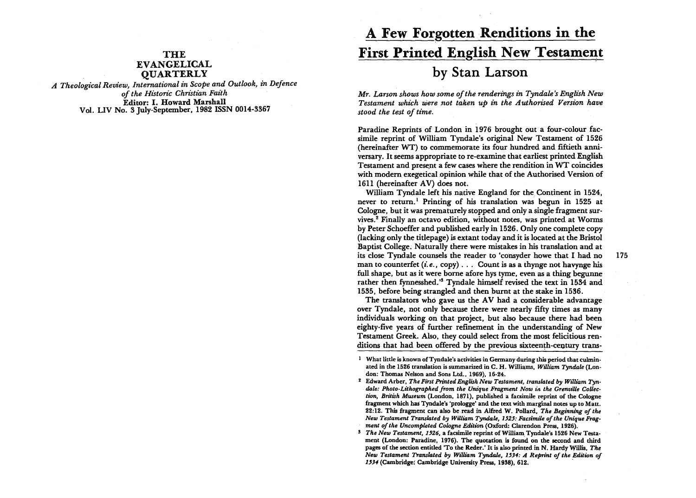## THE EVANGELICAL **OUARTERLY**

*A Theological Review, International in Scope and Outlook, in Defence of the Historic Christian Faz"th*  Editor: I. Howard Marshall Vo!. LIV No. 3 July-September, 1982 ISSN 0014-3367

## A Few Forgotten Renditions in the First Printed English New Testament by Stan Larson

*Mr. Larson shows how some of the renderings in Tyndale's English New Testament which were .not taken up in the Authonsed Version have stood the test of time.* 

Paradine Reprints of London in 1976 brought out a four-colour facsimile reprint of William Tyndale's original New Testament of 1526 (hereinafter WT) to commemorate its four hundred and fiftieth anniversary. It seems appropriate to re-examine that earliest printed English Testament and present a few cases where the rendition in WT coincides with modem exegetical opinion while that of the Authorised Version of 1611 (hereinafter AV) does not.

William Tyndale left his native England for the Continent in 1524, never to return.<sup>1</sup> Printing of his translation was begun in 1525 at Cologne, but it was prematurely stopped and only a single fragment survives. 2 Finally an octavo edition, without notes, was printed at Worms by Peter Schoeffer and published early in 1526. Only one complete copy (lacking only the titlepage) is extant today and it is located at the Bristol Baptist College. Naturally there were mistakes in his translation and at its close Tyndale counsels the reader to 'consyder howe that I had no 175 man to counterfet *(i.e., copy)...* Count is as a thynge not havynge his full shape, but as it were borne afore hys tyme, even as a thing begunne rather then fynnesshed.'5 Tyndale himself revised the text in 1534 and 1535, before being strangled and then burnt at the stake in 1536.

The translators who gave us the  $AV$  had a considerable advantage over Tyndale, not only because there were nearly fifty times as many individuals working on that project, but also because there had been eighty-five years of further refinement in the understanding of New Testament Greek. Also, they could select from the most felicitious renditions that had been offered by the previous sixteenth-century trans-

<sup>&</sup>lt;sup>1</sup> What little is known of Tyndale's activities in Germany during this period that culminated in the 1526 translation is summarized in C. H. Williams, *William Tyndale* (London: Thomas Nelson and Sons Ltd., 1969), 16-24.

<sup>&</sup>lt;sup>2</sup> Edward Arber, *The First Printed English New Testament, translated by William Tyn*dale: Photo-Lithographed from the Unique Fragment Now in the Grenville Collec*tion, British Museum* (London, 1871), published a facsimile reprint of the Cologne fragment which has Tyndale's 'prologge' and the text with marginal notes up to Matt. 22:12. This fragment can also be read in Alfred W. Pollard, *The Beginning of the*  New Testament Translated by William Tyndale, 1525: Facsimile of the Unique Frag*ment of the Uncompleted Cologne Edition* (Oxford: Clarendon Press, 1926).

<sup>&</sup>lt;sup>3</sup> *The New Testament, 1526.* a facsimile reprint of William Tyndale's 1526 New Testament (London: Paradine, 1976). The quotation is found on the second and third pages of the section entitled 'To the Reder.' It is also printed in N. Hardy Willis, *The New Testament Translated by William Tyndale, 1534: A Reprint of the Edition of* 1534 (Cambridge: Cambridge University Press. 1938), 612.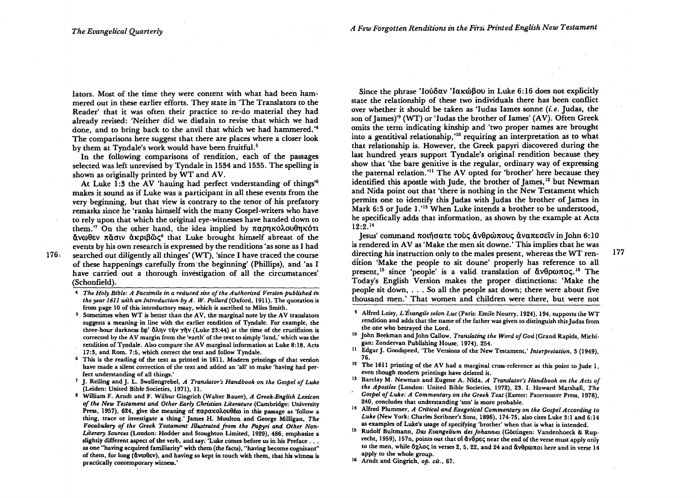$176<sub>1</sub>$ 

lators. Most of the time they were content with what had been hammered out in these earlier efforts. They state in 'The Translators to the Reader' that it was often their practice to re-do material they had already revised: 'Neither did we disdain to revise that which we had done, and to bring back to the anvil that which we had hammered.'4 The comparisons here suggest that there are places where a closer look by them at Tyndale's work would have been fruitful.<sup>5</sup>

In the following comparisons of rendition, each of the passages selected was left unrevised by Tyndale in 1534 and 1535. The spelling is shown as originally printed by WT and AV.

At Luke 1:3 the AV 'hauing had perfect mderstanding of things'6 makes it sound as if Luke was a participant in all these events from the very beginning, but that view is contrary to the tenor of his prefatory remarks since he 'ranks himself with the many Gospel-writers who have to rely upon that which the original eye-witnesses have handed down to them.'<sup>7</sup> On the other hand, the idea implied by  $\pi\alpha$ onko $\lambda$ ou $\theta$ nkó $\tau$ t  $\alpha$ vωθεν π $\alpha$ σιν ακριβ $\alpha$ ς<sup>8</sup> that Luke brought himself abreast of the events by his own research is expressed by the renditions' as sone as I had searched out diligently all thinges' (WT), 'since I have traced the course of these happenings carefully from'the beginning' (Phillips), and 'as I have carried out a thorough investigation of all the circumstances' (Schonfield) .

- <sup>4</sup>*The Holy Bible: A Facsiml'le In a reduced size of the Authorised Version published In the year 1611 with an Introduction by A. W. Pollard (Oxford, 1911). The quotation is* from page 10 of this introductory essay, which is ascribed to Miles Smith.
- $5$  Sometimes when WT is better than the AV, the marginal note by the AV translators suggests a meaning in line with the earlier rendition of Tyndale. For example, the three-hour darkness  $\dot{\epsilon} \varphi'$   $\delta \lambda \eta \vee \tau \dot{\eta} \vee \gamma \ddot{\eta} \vee$  (Luke 23:44) at the time of the crucifixion is corrected by the AV margin from the 'earth' of the text to simply 'land,' which was the rendition of Tyndale. Also compare the AV marginal information at Luke 8:18, Acts 17:3, and Rom. 7:5, which correct the text and follow Tyndale.
- $6$  This is the reading of the text as printed in 1611. Modern printings of that version have made a silent correction of the text and added an 'all' to make 'having had per· feet understanding of all things.'
- 7 J. Reiling and J. L. Swellengrebel, *A Translator's Handbook on the Gospel of Luke*  (Leiden: United Bible Societies, 1971), 11.
- S William F. Arndt and F. Wilbur Gingrich (WaIter Bauer), *A Greek·English Lexicon of the New Testament and Other Early Christian Literature* (Cambridge: University Press, 1957), 624, give the meaning of  $\pi\alpha$  particles in this passage as 'follow a thing, trace or investigate a thing.' James H. Moulton and George MiIligan, *The*  Vocabulary of the Greek Testament Illustrated from the Papyri and Other Non-Literary Sources (London: Hodder and Stoughton Limited, 1929), 486, emphasize a slightly different aspect of the verb, and say: 'Luke comes before us in his Preface ... as one "having acquired familiarity" with them (the facts), "having become cognizant" of them, for long ( $\ddot{\alpha}$ v $\omega$  $\theta$  $\epsilon$ v), and having so kept in touch with them, that his witness is practically contemporary witness.'

Since the phrase 'IoUδav 'Iak $\omega$ Bou in Luke 6:16 does not explicitly state the relationship of these two individuals there has been conflict over whether it should be taken as 'Iudas Iames sonne *(i.e.* Judas, the son of James)<sup>9</sup> (WT) or 'Iudas the brother of Iames' (AV). Often Greek omits the term indicating kinship and 'two proper names are brought into a gentitival relationship, '10 requiring an interpretation as to what that relationship is. However, the Greek papyri discovered during the last hundred years support Tyndale's original rendition because they show that 'the bare genitive is the regular, ordinary way of expressing the paternal relation.'1I The AV opted for 'brother' here because they identified this apostle with Jude, the brother of James,<sup>12</sup> but Newman and Nida point out that 'there is nothing in the New Testament which permits one to identify this Judas with Judas the brother of James in Mark 6:3 or Jude 1.<sup>'13</sup> When Luke intends a brother to be understood, he specifically adds that information. as shown by the example at Acts  $12:2^{14}$ 

Iesus' command ποιήσατε τους ανθρώπους αναπεσείν in John 6:10 is rendered in AV as 'Make the men sit downe.' This implies that he was directing his instruction only to the males present, whereas the WT rendition 'Make the people to sit doune' properly has reference to all present,<sup>15</sup> since 'people' is a valid translation of  $\tilde{\alpha} \vee \theta \rho \omega \pi$ oc.<sup>16</sup> The Today's English Version makes the proper distinctions: 'Make the people sit down, ... So all the people sat down; there were about five thousand men.' That women and children were there, but were not

- <sup>9</sup> Alfred Loisy, *L'Évangile selon Luc* (Paris: Emile Nourry, 1924), 194, supports the WT rendition and adds that the name of the father was given to distinguish this Judas from the one who betrayed the Lord.
- 10 John Beekman and John Callow, *Translating the Word of God* (Grand Rapids, Michigan: Zondervan Publishing House, 1974), 254,
- <sup>11</sup> Edgar J. Goodspeed, 'The Versions of the New Testament,' *Interpretation*, 3 (1949), 76.
- $12$  The 1611 printing of the AV had a marginal cross-reference at this point to Jude 1. even though modern printings have deleted it.
- 13 Barclay M. Newman and Eugene A. Nida, *A Translator's Handbook on the Acts of the Apostles* (London: United Bible Societies, 1972), 23. I. Howard Marshall, *The*  Gospel of Luke: A Commentary on the Greek Text (Exeter: Paternoster Press, 1978), 240, concludes that understanding 'son' is more probable.
- <sup>14</sup> Alfred Plummer, *A Critical and Exegetical Commentary on the Gospel According to Luke* (New York: Charles Scribner's Sons, 1896), 174·75, also cites Luke 3:1 and 6:14 as examples of Luke's usage of specifying 'brother' when that is what is intended.
- <sup>15</sup> Rudolf Bultmann, *Das Evangelium des Johannes* (Göttingen: Vandenhoeck & Ruprecht, 1959), 157n, points out that of  $\delta v \delta \rho \epsilon \varsigma$  near the end of the verse must apply only to the men, while  $\delta\chi\lambda_0\zeta$  in verses 2, 5, 22, and 24 and  $\delta\chi\theta\rho\omega\pi$ ot here and in verse 14 apply to the whole group.
- 16 Arndt and Gingrich, *op. cit.,* 67.

177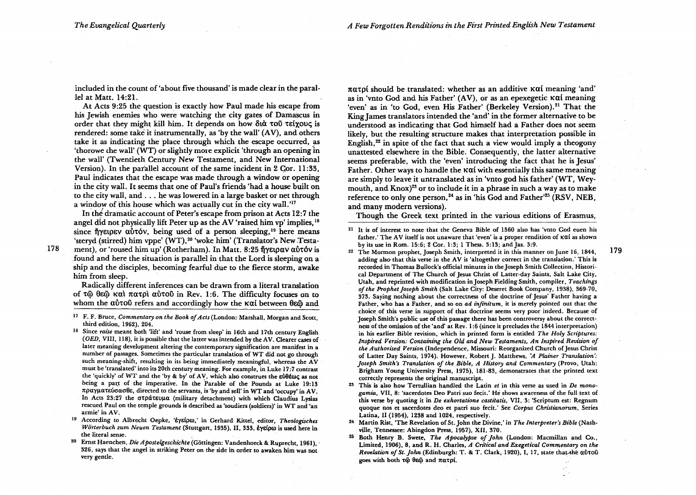included in the count of 'about five thousand' is made clear in the parallel at Matt. 14:21.

At Acts 9:25 the question is exactly how Paul made his escape from his Jewish enemies who were watching the city gates of Damascus in order that they might kill him. It depends on how  $\delta u \dot{\alpha}$  to  $\delta u \dot{\alpha}$  teixouc; is rendered: some take it instrumentally, as 'by the wall' (AV), and others take it as indicating the place through which the escape occurred, as 'thorowe che wall' (WT) or slightly more explicit 'through an opening in the wall' (Twentieth Century New Testament, and New International Version). In the parallel account of the same incident in 2 Cor. 11:33. Paul indicates that the escape was made through a window or opening in the city wall. It seems that one of Paul's friends 'had a house built on to the city wall, and ... he was lowered in a large basket or net through a window of this house which was actually cut in the city wall.'l7

In the dramatic account of Peter's escape from prison at Acts 12:7 the angel did not physically lift Peter up as the AV 'raised him vp' implies, 18 since  $\tilde{\eta}$  verson  $\alpha\tilde{\nu}$  autors being used of a person sleeping,<sup>19</sup> here means 'steryd (stirred) him vppe' (WT),<sup>20</sup> 'woke him' (Translator's New Testament), or 'roused him up' (Rotherham). In Matt. 8:25 ήγειραν αὐτόν is

178

found and here the situation is parallel in that the Lord is sleeping on a ship and the disciples, becoming fearful due to the fierce storm, awake him from sleep.

Radically different inferences can be drawn from a literal translation of  $\tau\tilde{\omega}$   $\theta\tilde{\epsilon}\tilde{\omega}$  kal  $\pi\alpha\tau$ oì au $\tau\tilde{\omega}$  in Rev. 1:6. The difficulty focuses on to whom the autou refers and accordingly how the Kai between  $\theta \epsilon \tilde{\omega}$  and

- 17 F. F. Bruce, *Commentary on the Book of Acts* (London:- Marshall, Morgan and Scott, third edition, 1962), 204.
- 18 Since *raise* meant both 'lift' and 'rouse from sleep' in 16th and 17th century English *(OED,* VIII, 118), it is possible that the latter was intended by the AV. Clearer cases of later meaning development altering the contemporary signification are manifest in a number of passages. Sometimes the particular translation of WT did not go through such meaning-shift, resulting in its being immediately meaningful, whereas the AV must be 'translated' into its 20th century meaning. For example, in Luke 17:7 contrast the 'quickly' of WT and the 'by & by' of AV, which also construes the  $\epsilon\dot{\theta}$ tegge as not being a part of the imperative. In the Parable of the Pounds at Luke 19:13 πραγματεύσασθε, directed to the servants, is 'by and sell' in WT and 'occupy' in AV. In Acts 23:27 the στράτευμα (military detachment) with which Claudius Lysias rescued Paul on the temple grounds is described as 'soudiers (soldiers)' in WT and 'an armie' in AV.
- <sup>19</sup> According to Albrecht Oepke, 'εγείρω,' in Gerhard Kittel, editor, *Theologisches* Wörterbuch zum Neuen Testament (Stuttgart, 1935), II, 333, εγείρω is used here in the literal sense.
- <sup>20</sup> Ernst Haenchen, *Die Apostelgeschichte* (Göttingen: Vandenhoeck & Ruprecht, 1961), 326, says that the angel in striking Peter on the side ih order to awaken him was not very gentle.

 $\pi\alpha\tau$ pt should be translated: whether as an additive K $\alpha$ t meaning 'and' as in 'vnto God and his Father'  $(AV)$ , or as an epexegetic  $K\alpha i$  meaning 'even' as in 'to God, even His Father' (Berkeley Version).<sup>21</sup> That the King James translators intended the 'and' in the former alternative to be understood as indicating that God himself had a Father does not seem likely, but the resulting structure makes that interpretation possible in English, $22$  in spite of the fact that such a view would imply a theogony unattested elsewhere in the Bible. Consequently, the latter alternative seems preferable, with the 'even' introducing the fact that he is Jesus' Father. Other ways to handle the  $\kappa\alpha i$  with essentially this same meaning are simply to leave it untranslated as in 'vnto god his father' (WT, Weymouth, and Knox)<sup>23</sup> or to include it in a phrase in such a way as to make reference to only one person,<sup>24</sup> as in 'his God and Father'<sup>25</sup> (RSV, NEB, and many modern versions).

Though the Greek text printed in the various editions of Erasmus,

<sup>21</sup> It is of interest to note that the Geneva Bible of 1560 also has 'vnto God euen his father. 'The AV itself is not unaware that 'even' is a proper rendition of Kui as shown by its use in Rom. 15:6; 2 Cor. 1 :3; I Thess. 3: 13; and Jas. 3:9.

179

- <sup>22</sup>The Mormon prophet, Joseph Smith, interpreted it in this manner on June 16, 1844, adding also that this verse in the AV is 'altogether correct in the translation.' This is recorded in Thomas Bullock's official minutes in the Joseph Smith Collection, Historical Department of The Church of Jesus Christ of Latter-day Saints, Salt Lake City, Utah, and reprinted with modification in Joseph Fielding Smith, compiler, *Teachings*  of the Prophet Joseph Smith (Salt Lake City: Deseret Book Company, 1938), 369-70, 373. Saying nothing about the correctness of the doctrine of Jesus' Father having a Father, who has a Father, and so on *ad infinitum,* it is merely pointed out that the choice\_ of this verse in support of that doctrine seems very poor indeed. Because of Joseph Smith's public use of this passage there has been controversy about the correctness of the omission of the 'and' at Rev. 1:6 (since it precludes the 1844 interpretation) in his earlier Bible revision, which in printed form is entitled *The Holy Scriptures: Inspired Version: Containing the Old and New Testaments, An Inspired Revision of the Authorised Version* (Independence, Missouri: Reorganized Church of Jesus Christ of Latter Day Saints, 1974). However, Robert]. Matthews, 'A *Plainer Translation': Joseph Smith's Translation of the Bible, A History and Commentary (Provo, Utah:* Brigham Young University Press, 1975), 181-83, demonstrates that the printed text correctly represents the original manuscript.
- 2! This is also how Tertullian handled the Latin *et* in this verse as used in *De monogamia,* VII, 8: 'sacerdotes Deo Patri suo fecit.' He shows awareness of the full text of this verse by quoting it in *De exhortatione castitatis,* VII,3: 'Scriptum est: Regnum quoque nos et sacerdotes deo et patri suo fecit.' See *Corpus Christianorum,* Series Latina, II (1954), 1238 and 1024, respectively.
- <sup>24</sup> Martin Rist, 'The Revelation of St. John the Divine,' in *The Interpreter's Bible* (Nashville, Tennessee: Abingdon Press, 1957), XII, 370.
- 25 Both Henry B. Swete, *The Apocalypse of John* (London: Macmillan and Co., Limited, 1906), 8, and R. H. Charles, *A Critical and Exegetical Commentary on the Revelation of St. John* (Edinburgh: T. & T. Clark, 1920), I, 17, state that the autou goes with both  $\tau\ddot{\omega}$   $\theta\ddot{\omega}$  and  $\pi\alpha\tau\rho\dot{\theta}$ .